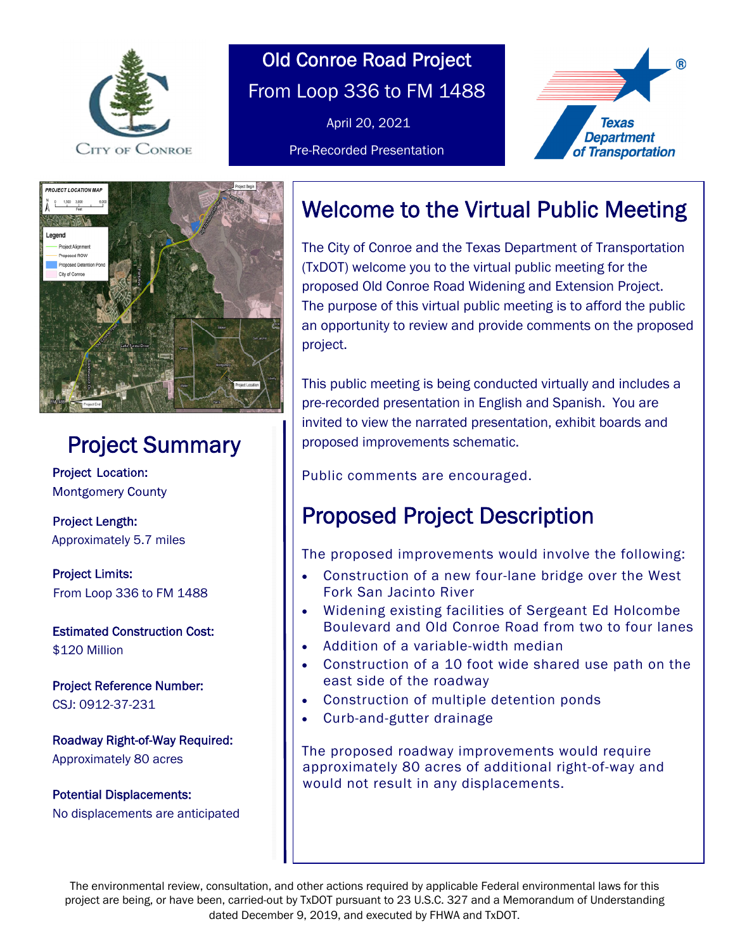

# Old Conroe Road Project From Loop 336 to FM 1488

April 20, 2021

Pre-Recorded Presentation





## Project Summary Project Summary

Project Project **Montgomery County** 

 Length: Length: Approximately 5.7 miles Approximately 5.7 miles

Project Limits: From Loop 336 to FM 1488

**Estimated Construction Cost:** \$120 Million

Project Reference Number: CSJ: 0912-37-231

Roadway Right-of-Way Required: Approximately 80 acres

Potential Displacements: No displacements are anticipated

## Welcome to the Virtual Public Meeting

 $\overline{a}$ 

The City of Conroe and the Texas Department of Transportation (TxDOT) welcome you to the virtual public meeting for the proposed Old Conroe Road Widening and Extension Project. The purpose of this virtual public meeting is to afford the public an opportunity to review and provide comments on the proposed project.

This public meeting is being conducted virtually and includes a pre-recorded presentation in English and Spanish. You are invited to view the narrated presentation, exhibit boards and proposed improvements schematic.

Public comments are encouraged.

# Proposed Project Description

The proposed improvements would involve the following:

- Construction of a new four-lane bridge over the West Fork San Jacinto River
- Widening existing facilities of Sergeant Ed Holcombe Boulevard and Old Conroe Road from two to four lanes
- Addition of a variable-width median
- Construction of a 10 foot wide shared use path on the east side of the roadway
- Construction of multiple detention ponds
- Curb-and-gutter drainage

The proposed roadway improvements would require approximately 80 acres of additional right-of-way and would not result in any displacements.

The environmental review, consultation, and other actions required by applicable Federal environmental laws for this project are being, or have been, carried-out by TxDOT pursuant to 23 U.S.C. 327 and a Memorandum of Understanding dated December 9, 2019, and executed by FHWA and TxDOT.